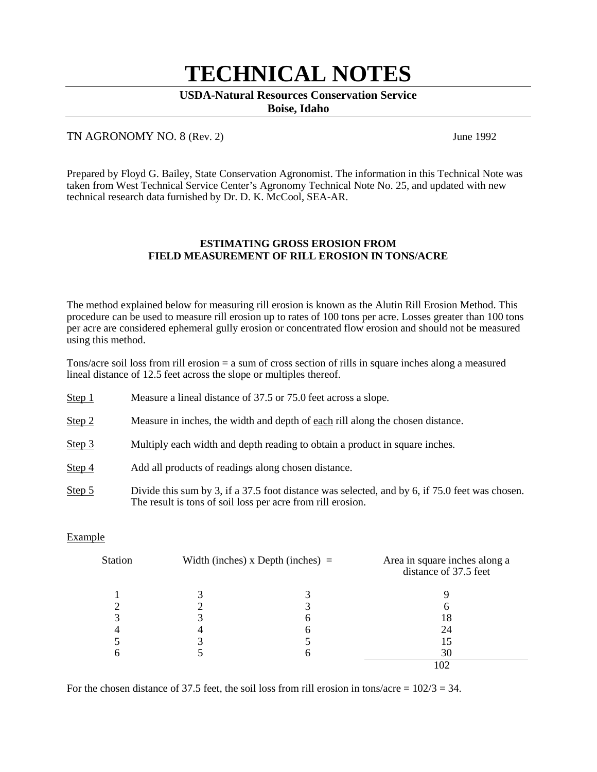# **TECHNICAL NOTES**

### **USDA-Natural Resources Conservation Service**

**Boise, Idaho**

# TN AGRONOMY NO. 8 (Rev. 2) June 1992

Prepared by Floyd G. Bailey, State Conservation Agronomist. The information in this Technical Note was taken from West Technical Service Center's Agronomy Technical Note No. 25, and updated with new technical research data furnished by Dr. D. K. McCool, SEA-AR.

### **ESTIMATING GROSS EROSION FROM FIELD MEASUREMENT OF RILL EROSION IN TONS/ACRE**

The method explained below for measuring rill erosion is known as the Alutin Rill Erosion Method. This procedure can be used to measure rill erosion up to rates of 100 tons per acre. Losses greater than 100 tons per acre are considered ephemeral gully erosion or concentrated flow erosion and should not be measured using this method.

Tons/acre soil loss from rill erosion = a sum of cross section of rills in square inches along a measured lineal distance of 12.5 feet across the slope or multiples thereof.

| Step 1            | Measure a lineal distance of 37.5 or 75.0 feet across a slope.                    |
|-------------------|-----------------------------------------------------------------------------------|
| Step 2            | Measure in inches, the width and depth of each rill along the chosen distance.    |
| Step 3            | Multiply each width and depth reading to obtain a product in square inches.       |
| Step 4            | Add all products of readings along chosen distance.                               |
| $\Gamma$ $\Gamma$ | Divide this sum by 2 if a 27 F fact distance was solved and by C if 75 O fact was |

Step 5 Divide this sum by 3, if a 37.5 foot distance was selected, and by 6, if 75.0 feet was chosen. The result is tons of soil loss per acre from rill erosion.

# Example

| Station | Width (inches) $x$ Depth (inches) $=$ |   | Area in square inches along a<br>distance of 37.5 feet |
|---------|---------------------------------------|---|--------------------------------------------------------|
|         |                                       |   |                                                        |
|         |                                       |   | h                                                      |
|         |                                       | n | 18                                                     |
|         |                                       |   | 24                                                     |
|         |                                       |   |                                                        |
|         |                                       | n | 30                                                     |
|         |                                       |   | 102                                                    |

For the chosen distance of 37.5 feet, the soil loss from rill erosion in tons/acre =  $102/3 = 34$ .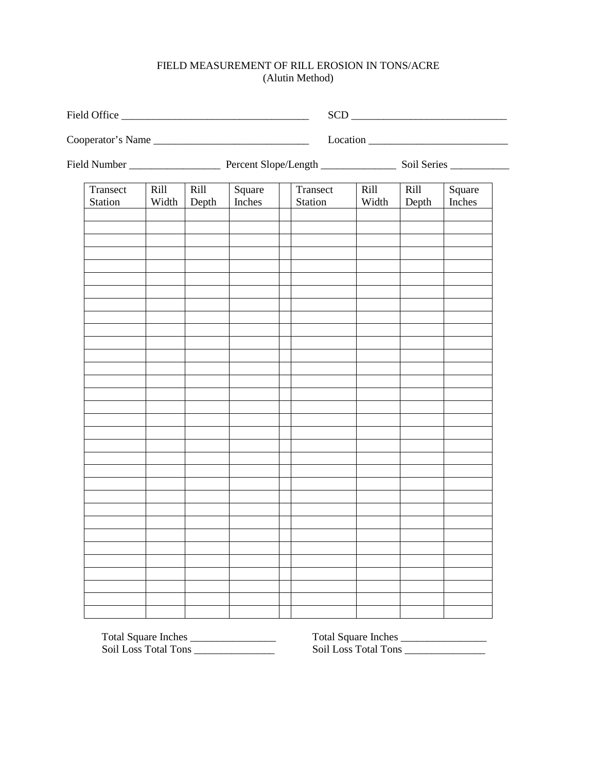# FIELD MEASUREMENT OF RILL EROSION IN TONS/ACRE (Alutin Method)

| Cooperator's Name   |               |               |                  |                     | $\frac{1}{2}$ |               |                  |  |
|---------------------|---------------|---------------|------------------|---------------------|---------------|---------------|------------------|--|
|                     |               |               |                  |                     |               |               |                  |  |
| Transect<br>Station | Rill<br>Width | Rill<br>Depth | Square<br>Inches | Transect<br>Station | Rill<br>Width | Rill<br>Depth | Square<br>Inches |  |
|                     |               |               |                  |                     |               |               |                  |  |
|                     |               |               |                  |                     |               |               |                  |  |
|                     |               |               |                  |                     |               |               |                  |  |
|                     |               |               |                  |                     |               |               |                  |  |
|                     |               |               |                  |                     |               |               |                  |  |
|                     |               |               |                  |                     |               |               |                  |  |
|                     |               |               |                  |                     |               |               |                  |  |
|                     |               |               |                  |                     |               |               |                  |  |
|                     |               |               |                  |                     |               |               |                  |  |
|                     |               |               |                  |                     |               |               |                  |  |

Soil Loss Total Tons \_\_\_\_\_\_\_\_\_\_\_\_\_\_\_ Soil Loss Total Tons \_\_\_\_\_\_\_\_\_\_\_\_\_\_\_

Total Square Inches \_\_\_\_\_\_\_\_\_\_\_\_\_\_\_\_ Total Square Inches \_\_\_\_\_\_\_\_\_\_\_\_\_\_\_\_